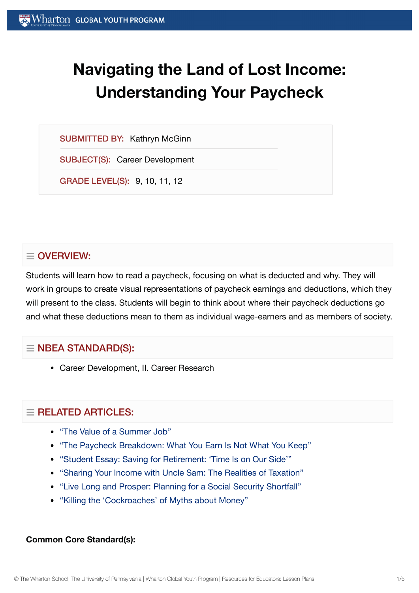# **Navigating the Land of Lost Income: Understanding Your Paycheck**

SUBMITTED BY: Kathryn McGinn

SUBJECT(S): Career Development

GRADE LEVEL(S): 9, 10, 11, 12

# $\equiv$  OVERVIEW:

Students will learn how to read a paycheck, focusing on what is deducted and why. They will work in groups to create visual representations of paycheck earnings and deductions, which they will present to the class. Students will begin to think about where their paycheck deductions go and what these deductions mean to them as individual wage-earners and as members of society.

# $\equiv$  NBEA STANDARD(S):

Career Development, II. Career Research

# $\equiv$  RELATED ARTICLES:

- "The Value of a [Summer](https://globalyouth.wharton.upenn.edu/articles/value-summer-job/) Job"
- "The Paycheck [Breakdown:](https://globalyouth.wharton.upenn.edu/articles/the-paycheck-breakdown-what-you-earn-is-not-what-you-keep/) What You Earn Is Not What You Keep"
- "Student Essay: Saving for [Retirement:](https://globalyouth.wharton.upenn.edu/articles/saving-retirement-time-side/) 'Time Is on Our Side'"
- "Sharing Your Income with Uncle Sam: The [Realities of](https://globalyouth.wharton.upenn.edu/articles/sharing-your-income-with-uncle-sam-the-realities-of-taxation/) Taxation"
- "Live Long and Prosper: Planning for a Social [Security Shortfall"](https://globalyouth.wharton.upenn.edu/articles/live-long-and-prosper-planning-for-a-social-security-shortfall/)
- "Killing the ['Cockroaches'](https://globalyouth.wharton.upenn.edu/articles/killing-personal-finance-myths/) of Myths about Money"

#### **Common Core Standard(s):**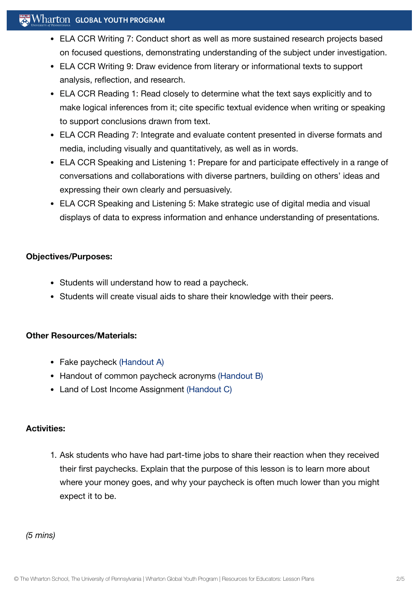## $\mathbb{R}^n$  Wharton Global Youth Program

- ELA CCR Writing 7: Conduct short as well as more sustained research projects based on focused questions, demonstrating understanding of the subject under investigation.
- ELA CCR Writing 9: Draw evidence from literary or informational texts to support analysis, reflection, and research.
- ELA CCR Reading 1: Read closely to determine what the text says explicitly and to make logical inferences from it; cite specific textual evidence when writing or speaking to support conclusions drawn from text.
- ELA CCR Reading 7: Integrate and evaluate content presented in diverse formats and media, including visually and quantitatively, as well as in words.
- ELA CCR Speaking and Listening 1: Prepare for and participate effectively in a range of conversations and collaborations with diverse partners, building on others' ideas and expressing their own clearly and persuasively.
- ELA CCR Speaking and Listening 5: Make strategic use of digital media and visual displays of data to express information and enhance understanding of presentations.

#### **Objectives/Purposes:**

- Students will understand how to read a paycheck.
- Students will create visual aids to share their knowledge with their peers.

## **Other Resources/Materials:**

- Fake paycheck [\(Handout](https://globalyouth.wharton.upenn.edu/wp-content/uploads/2012/01/Career-Development-24_HandoutA.pdf) A)
- Handout of common paycheck acronyms [\(Handout](https://globalyouth.wharton.upenn.edu/wp-content/uploads/2012/01/Career-Development-24_handoutB.pdf) B)
- Land of Lost Income Assignment [\(Handout](https://globalyouth.wharton.upenn.edu/wp-content/uploads/2012/01/Career-Development-24_handoutC.pdf) C)

## **Activities:**

1. Ask students who have had part-time jobs to share their reaction when they received their first paychecks. Explain that the purpose of this lesson is to learn more about where your money goes, and why your paycheck is often much lower than you might expect it to be.

*(5 mins)*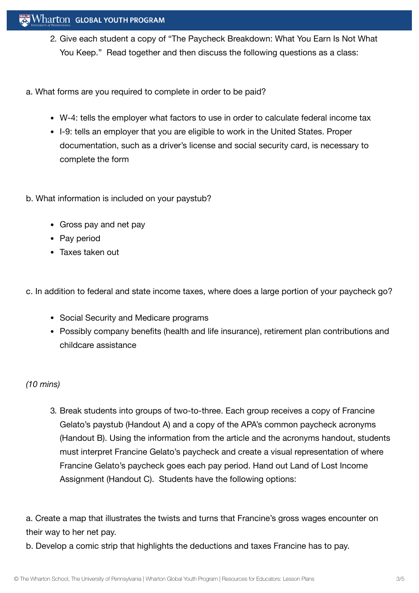- 2. Give each student a copy of "The Paycheck Breakdown: What You Earn Is Not What You Keep." Read together and then discuss the following questions as a class:
- a. What forms are you required to complete in order to be paid?
	- W-4: tells the employer what factors to use in order to calculate federal income tax
	- I-9: tells an employer that you are eligible to work in the United States. Proper documentation, such as a driver's license and social security card, is necessary to complete the form
- b. What information is included on your paystub?
	- Gross pay and net pay
	- Pay period
	- Taxes taken out

c. In addition to federal and state income taxes, where does a large portion of your paycheck go?

- Social Security and Medicare programs
- Possibly company benefits (health and life insurance), retirement plan contributions and childcare assistance

## *(10 mins)*

3. Break students into groups of two-to-three. Each group receives a copy of Francine Gelato's paystub (Handout A) and a copy of the APA's common paycheck acronyms (Handout B). Using the information from the article and the acronyms handout, students must interpret Francine Gelato's paycheck and create a visual representation of where Francine Gelato's paycheck goes each pay period. Hand out Land of Lost Income Assignment (Handout C). Students have the following options:

a. Create a map that illustrates the twists and turns that Francine's gross wages encounter on their way to her net pay.

b. Develop a comic strip that highlights the deductions and taxes Francine has to pay.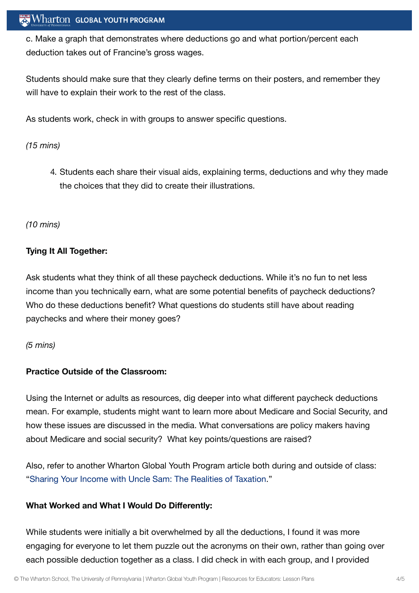c. Make a graph that demonstrates where deductions go and what portion/percent each deduction takes out of Francine's gross wages.

Students should make sure that they clearly define terms on their posters, and remember they will have to explain their work to the rest of the class.

As students work, check in with groups to answer specific questions.

#### *(15 mins)*

4. Students each share their visual aids, explaining terms, deductions and why they made the choices that they did to create their illustrations.

#### *(10 mins)*

#### **Tying It All Together:**

Ask students what they think of all these paycheck deductions. While it's no fun to net less income than you technically earn, what are some potential benefits of paycheck deductions? Who do these deductions benefit? What questions do students still have about reading paychecks and where their money goes?

#### *(5 mins)*

#### **Practice Outside of the Classroom:**

Using the Internet or adults as resources, dig deeper into what different paycheck deductions mean. For example, students might want to learn more about Medicare and Social Security, and how these issues are discussed in the media. What conversations are policy makers having about Medicare and social security? What key points/questions are raised?

Also, refer to another Wharton Global Youth Program article both during and outside of class: "Sharing Your Income with Uncle Sam: The [Realities of](https://kwhs.wpengine.com/2012/07/sharing-your-income-with-uncle-sam-the-realities-of-taxation/) Taxation."

#### **What Worked and What I Would Do Differently:**

While students were initially a bit overwhelmed by all the deductions, I found it was more engaging for everyone to let them puzzle out the acronyms on their own, rather than going over each possible deduction together as a class. I did check in with each group, and I provided